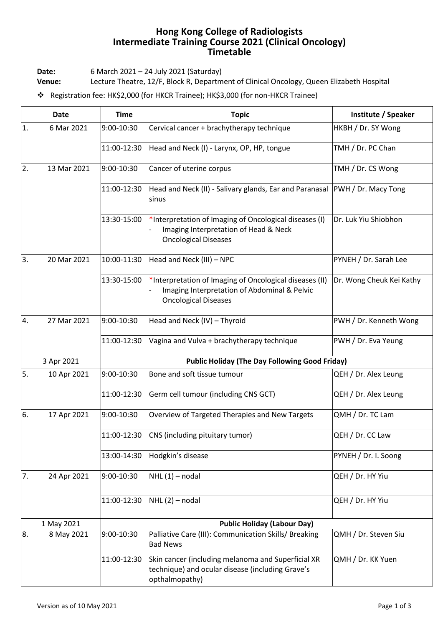## **Hong Kong College of Radiologists Intermediate Training Course 2021 (Clinical Oncology) Timetable**

**Date:** 6 March 2021 – 24 July 2021 (Saturday)

**Venue:** Lecture Theatre, 12/F, Block R, Department of Clinical Oncology, Queen Elizabeth Hospital

❖ Registration fee: HK\$2,000 (for HKCR Trainee); HK\$3,000 (for non-HKCR Trainee)

| <b>Date</b> |             | <b>Time</b>                                           | <b>Topic</b>                                                                                                                           | Institute / Speaker      |  |
|-------------|-------------|-------------------------------------------------------|----------------------------------------------------------------------------------------------------------------------------------------|--------------------------|--|
| 1.          | 6 Mar 2021  | 9:00-10:30                                            | Cervical cancer + brachytherapy technique                                                                                              | HKBH / Dr. SY Wong       |  |
|             |             | 11:00-12:30                                           | Head and Neck (I) - Larynx, OP, HP, tongue                                                                                             | TMH / Dr. PC Chan        |  |
| 2.          | 13 Mar 2021 | 9:00-10:30                                            | Cancer of uterine corpus                                                                                                               | TMH / Dr. CS Wong        |  |
|             |             | 11:00-12:30                                           | Head and Neck (II) - Salivary glands, Ear and Paranasal PWH / Dr. Macy Tong<br>sinus                                                   |                          |  |
|             |             | 13:30-15:00                                           | *Interpretation of Imaging of Oncological diseases (I)<br>Imaging Interpretation of Head & Neck<br><b>Oncological Diseases</b>         | Dr. Luk Yiu Shiobhon     |  |
| 3.          | 20 Mar 2021 | 10:00-11:30                                           | Head and Neck (III) - NPC                                                                                                              | PYNEH / Dr. Sarah Lee    |  |
|             |             | 13:30-15:00                                           | *Interpretation of Imaging of Oncological diseases (II)<br>Imaging Interpretation of Abdominal & Pelvic<br><b>Oncological Diseases</b> | Dr. Wong Cheuk Kei Kathy |  |
| 4.          | 27 Mar 2021 | 9:00-10:30                                            | Head and Neck (IV) - Thyroid                                                                                                           | PWH / Dr. Kenneth Wong   |  |
|             |             | 11:00-12:30                                           | Vagina and Vulva + brachytherapy technique                                                                                             | PWH / Dr. Eva Yeung      |  |
| 3 Apr 2021  |             | <b>Public Holiday (The Day Following Good Friday)</b> |                                                                                                                                        |                          |  |
| 5.          | 10 Apr 2021 | 9:00-10:30                                            | Bone and soft tissue tumour                                                                                                            | QEH / Dr. Alex Leung     |  |
|             |             | 11:00-12:30                                           | Germ cell tumour (including CNS GCT)                                                                                                   | QEH / Dr. Alex Leung     |  |
| 6.          | 17 Apr 2021 | 9:00-10:30                                            | Overview of Targeted Therapies and New Targets                                                                                         | QMH / Dr. TC Lam         |  |
|             |             | 11:00-12:30                                           | CNS (including pituitary tumor)                                                                                                        | QEH / Dr. CC Law         |  |
|             |             | 13:00-14:30                                           | Hodgkin's disease                                                                                                                      | PYNEH / Dr. I. Soong     |  |
| 7.          | 24 Apr 2021 | 9:00-10:30                                            | $NHL(1)$ – nodal                                                                                                                       | QEH / Dr. HY Yiu         |  |
|             |             | 11:00-12:30                                           | $NHL(2)$ – nodal                                                                                                                       | QEH / Dr. HY Yiu         |  |
|             | 1 May 2021  |                                                       |                                                                                                                                        |                          |  |
| 8.          | 8 May 2021  | 9:00-10:30                                            | Palliative Care (III): Communication Skills/ Breaking<br><b>Bad News</b>                                                               | QMH / Dr. Steven Siu     |  |
|             |             | 11:00-12:30                                           | Skin cancer (including melanoma and Superficial XR<br>technique) and ocular disease (including Grave's<br>opthalmopathy)               | QMH / Dr. KK Yuen        |  |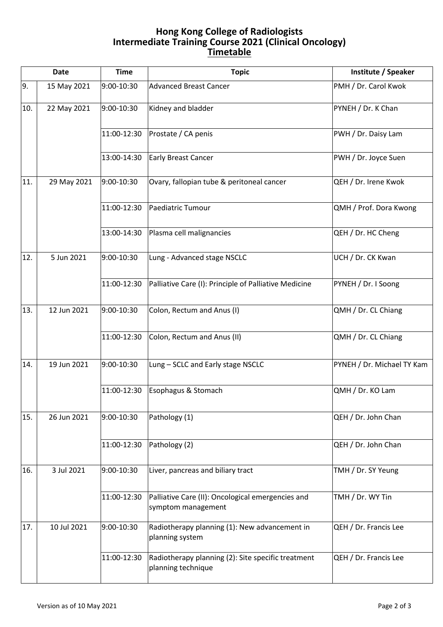## **Hong Kong College of Radiologists Intermediate Training Course 2021 (Clinical Oncology) Timetable**

| <b>Date</b> |             | <b>Time</b> | <b>Topic</b>                                                             | Institute / Speaker        |
|-------------|-------------|-------------|--------------------------------------------------------------------------|----------------------------|
| 9.          | 15 May 2021 | 9:00-10:30  | <b>Advanced Breast Cancer</b>                                            | PMH / Dr. Carol Kwok       |
| 10.         | 22 May 2021 | 9:00-10:30  | Kidney and bladder                                                       | PYNEH / Dr. K Chan         |
|             |             | 11:00-12:30 | Prostate / CA penis                                                      | PWH / Dr. Daisy Lam        |
|             |             | 13:00-14:30 | <b>Early Breast Cancer</b>                                               | PWH / Dr. Joyce Suen       |
| 11.         | 29 May 2021 | 9:00-10:30  | Ovary, fallopian tube & peritoneal cancer                                | QEH / Dr. Irene Kwok       |
|             |             | 11:00-12:30 | Paediatric Tumour                                                        | QMH / Prof. Dora Kwong     |
|             |             | 13:00-14:30 | Plasma cell malignancies                                                 | QEH / Dr. HC Cheng         |
| 12.         | 5 Jun 2021  | 9:00-10:30  | Lung - Advanced stage NSCLC                                              | UCH / Dr. CK Kwan          |
|             |             | 11:00-12:30 | Palliative Care (I): Principle of Palliative Medicine                    | PYNEH / Dr. I Soong        |
| 13.         | 12 Jun 2021 | 9:00-10:30  | Colon, Rectum and Anus (I)                                               | QMH / Dr. CL Chiang        |
|             |             | 11:00-12:30 | Colon, Rectum and Anus (II)                                              | QMH / Dr. CL Chiang        |
| 14.         | 19 Jun 2021 | 9:00-10:30  | Lung - SCLC and Early stage NSCLC                                        | PYNEH / Dr. Michael TY Kam |
|             |             | 11:00-12:30 | Esophagus & Stomach                                                      | QMH / Dr. KO Lam           |
| 15.         | 26 Jun 2021 | 9:00-10:30  | Pathology (1)                                                            | QEH / Dr. John Chan        |
|             |             | 11:00-12:30 | Pathology (2)                                                            | QEH / Dr. John Chan        |
| 16.         | 3 Jul 2021  | 9:00-10:30  | Liver, pancreas and biliary tract                                        | TMH / Dr. SY Yeung         |
|             |             | 11:00-12:30 | Palliative Care (II): Oncological emergencies and<br>symptom management  | TMH / Dr. WY Tin           |
| 17.         | 10 Jul 2021 | 9:00-10:30  | Radiotherapy planning (1): New advancement in<br>planning system         | QEH / Dr. Francis Lee      |
|             |             | 11:00-12:30 | Radiotherapy planning (2): Site specific treatment<br>planning technique | QEH / Dr. Francis Lee      |